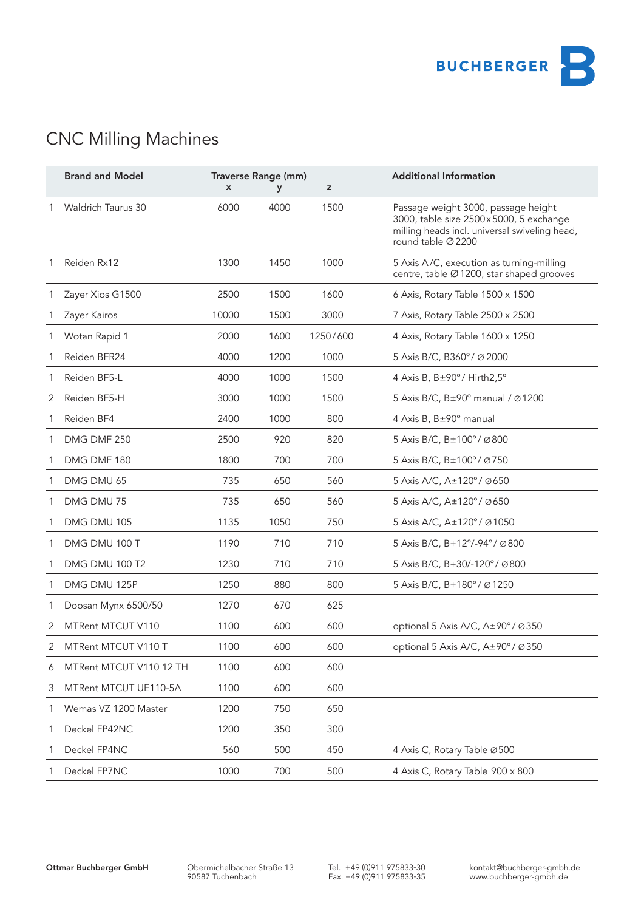

# CNC Milling Machines

|   | <b>Brand and Model</b>    | X     | Traverse Range (mm)<br>y | z        | <b>Additional Information</b>                                                                                                                        |
|---|---------------------------|-------|--------------------------|----------|------------------------------------------------------------------------------------------------------------------------------------------------------|
| 1 | <b>Waldrich Taurus 30</b> | 6000  | 4000                     | 1500     | Passage weight 3000, passage height<br>3000, table size 2500x5000, 5 exchange<br>milling heads incl. universal swiveling head,<br>round table Ø 2200 |
| 1 | Reiden Rx12               | 1300  | 1450                     | 1000     | 5 Axis A/C, execution as turning-milling<br>centre, table Ø 1200, star shaped grooves                                                                |
|   | Zayer Xios G1500          | 2500  | 1500                     | 1600     | 6 Axis, Rotary Table 1500 x 1500                                                                                                                     |
|   | Zayer Kairos              | 10000 | 1500                     | 3000     | 7 Axis, Rotary Table 2500 x 2500                                                                                                                     |
|   | Wotan Rapid 1             | 2000  | 1600                     | 1250/600 | 4 Axis, Rotary Table 1600 x 1250                                                                                                                     |
|   | Reiden BFR24              | 4000  | 1200                     | 1000     | 5 Axis B/C, B360°/ Ø 2000                                                                                                                            |
| 1 | Reiden BF5-L              | 4000  | 1000                     | 1500     | 4 Axis B, B±90°/ Hirth2,5°                                                                                                                           |
| 2 | Reiden BF5-H              | 3000  | 1000                     | 1500     | 5 Axis B/C, B±90° manual / Ø 1200                                                                                                                    |
|   | Reiden BF4                | 2400  | 1000                     | 800      | 4 Axis B, B±90° manual                                                                                                                               |
|   | DMG DMF 250               | 2500  | 920                      | 820      | 5 Axis B/C, B±100°/ Ø800                                                                                                                             |
|   | DMG DMF 180               | 1800  | 700                      | 700      | 5 Axis B/C, B±100°/ Ø750                                                                                                                             |
| 1 | DMG DMU 65                | 735   | 650                      | 560      | 5 Axis A/C, A±120°/ Ø650                                                                                                                             |
| 1 | DMG DMU 75                | 735   | 650                      | 560      | 5 Axis A/C, A±120°/ Ø650                                                                                                                             |
|   | DMG DMU 105               | 1135  | 1050                     | 750      | 5 Axis A/C, A±120°/ Ø1050                                                                                                                            |
|   | DMG DMU 100 T             | 1190  | 710                      | 710      | 5 Axis B/C, B+12°/-94°/ Ø800                                                                                                                         |
|   | DMG DMU 100 T2            | 1230  | 710                      | 710      | 5 Axis B/C, B+30/-120°/ Ø800                                                                                                                         |
| 1 | DMG DMU 125P              | 1250  | 880                      | 800      | 5 Axis B/C, B+180°/ Ø1250                                                                                                                            |
|   | Doosan Mynx 6500/50       | 1270  | 670                      | 625      |                                                                                                                                                      |
| 2 | MTRent MTCUT V110         | 1100  | 600                      | 600      | optional 5 Axis A/C, A±90°/ Ø350                                                                                                                     |
| 2 | MTRent MTCUT V110 T       | 1100  | 600                      | 600      | optional 5 Axis A/C, A±90°/ Ø350                                                                                                                     |
| 6 | MTRent MTCUT V110 12 TH   | 1100  | 600                      | 600      |                                                                                                                                                      |
| 3 | MTRent MTCUT UE110-5A     | 1100  | 600                      | 600      |                                                                                                                                                      |
| 1 | Wemas VZ 1200 Master      | 1200  | 750                      | 650      |                                                                                                                                                      |
| 1 | Deckel FP42NC             | 1200  | 350                      | 300      |                                                                                                                                                      |
| 1 | Deckel FP4NC              | 560   | 500                      | 450      | 4 Axis C, Rotary Table Ø 500                                                                                                                         |
|   | Deckel FP7NC              | 1000  | 700                      | 500      | 4 Axis C, Rotary Table 900 x 800                                                                                                                     |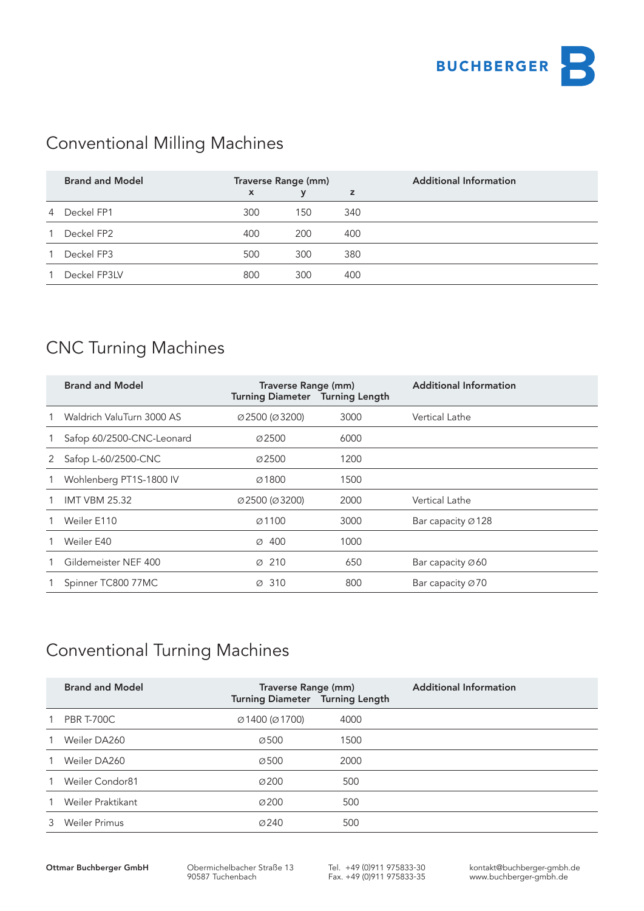

## Conventional Milling Machines

|    | <b>Brand and Model</b> | Traverse Range (mm) |             |     | <b>Additional Information</b> |
|----|------------------------|---------------------|-------------|-----|-------------------------------|
|    |                        | $\mathsf{x}$        | $\mathbf v$ | z   |                               |
| 4  | Deckel FP1             | 300                 | 150         | 340 |                               |
| 1. | Deckel FP2             | 400                 | 200         | 400 |                               |
| 1  | Deckel FP3             | 500                 | 300         | 380 |                               |
|    | Deckel FP3LV           | 800                 | 300         | 400 |                               |

#### CNC Turning Machines

|   | <b>Brand and Model</b>    | Traverse Range (mm)<br>Turning Diameter Turning Length |      | <b>Additional Information</b>  |
|---|---------------------------|--------------------------------------------------------|------|--------------------------------|
|   | Waldrich ValuTurn 3000 AS | $\varnothing$ 2500 ( $\varnothing$ 3200)               | 3000 | Vertical Lathe                 |
|   | Safop 60/2500-CNC-Leonard | Ø2500                                                  | 6000 |                                |
| 2 | Safop L-60/2500-CNC       | Ø2500                                                  | 1200 |                                |
|   | Wohlenberg PT1S-1800 IV   | Ø1800                                                  | 1500 |                                |
|   | <b>IMT VBM 25.32</b>      | Ø2500 (Ø3200)                                          | 2000 | Vertical Lathe                 |
|   | Weiler E110               | $\varnothing$ 1100                                     | 3000 | Bar capacity $\varnothing$ 128 |
|   | Weiler E40                | $\varnothing$ 400                                      | 1000 |                                |
|   | Gildemeister NEF 400      | $\varnothing$ 210                                      | 650  | Bar capacity Ø60               |
|   | Spinner TC800 77MC        | $\varnothing$ 310                                      | 800  | Bar capacity Ø70               |

### Conventional Turning Machines

|   | <b>Brand and Model</b> | Traverse Range (mm)<br>Turning Diameter Turning Length |      | <b>Additional Information</b> |
|---|------------------------|--------------------------------------------------------|------|-------------------------------|
|   | <b>PBR T-700C</b>      | $\varnothing$ 1400 ( $\varnothing$ 1700)               | 4000 |                               |
|   | Weiler DA260           | $\varnothing$ 500                                      | 1500 |                               |
|   | Weiler DA260           | Ø500                                                   | 2000 |                               |
|   | Weiler Condor81        | Ø200                                                   | 500  |                               |
|   | Weiler Praktikant      | Ø200                                                   | 500  |                               |
| 3 | Weiler Primus          | $\varnothing$ 240                                      | 500  |                               |